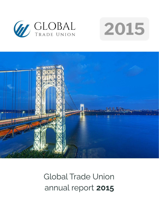





# Global Trade Union annual report **2015**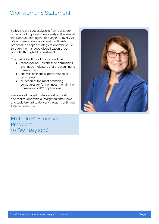### Chairwoman's Statement

Following the successful exit from our larger non-controlling investments early in the year, at the General Meeting in February 2015 over 99% of our shareholders endorsed the Board's proposal to adopt a strategy to optimise value through the managed diversification of our portfolio through IPO investments.

The main directions of our work will be:

- search for well-established companies with good indicators that are planning to make an IPO.
- analysis of financial performance of companies.
- selection of the most promising companies for further investment in the framework of IPO applications.

We are well placed to deliver value creation and realisation within our targeted time frame and look forward to delivery through continued focus on execution.

Michelle M. Simonson President 10 February 2016

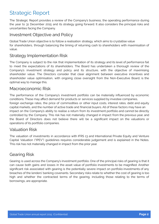## Strategic Report

The Strategic Report provides a review of the Company's business, the operating performance during the year to 31 December 2015 and its strategy going forward. It also considers the principal risks and uncertainties facing the Company.

#### Investment Objective and Policy

Global Trade Union objective is to follow a realisation strategy, which aims to crystallise value for shareholders, through balancing the timing of returning cash to shareholders with maximisation of value.

#### Strategy Implementation Risk

The Company is subject to the risk that implementation of its strategy and its level of performance fail to meet the expectations of its shareholders. The Board has undertaken a thorough review of the Company's investment strategy and policy and its structure, with the objective of maximising shareholder value. The Directors consider that clear alignment between executive incentives and shareholder value optimisation, with ongoing close oversight from the Non-Executive Board, is the optimal way to manage this.

#### Macroeconomic Risk

The performance of the Company's investment portfolio can be materially influenced by economic conditions. These may affect demand for products or services supplied by investee companies, foreign exchange rates, the price of commodities or other input costs, interest rates, debt and equity capital markets, and the number of active trade and financial buyers. All of these factors may have an impact on the Company's ability to realise a return from its investment portfolio and cannot be directly controlled by the Company. This risk has not materially changed in impact from the previous year, and the Board of Directors does not believe there will be a significant impact on the valuations or operations of its portfolio companies.

#### Valuation Risk

The valuation of investments in accordance with IFRS 13 and International Private Equity and Venture Capital Valuation ("IPEV") guidelines requires considerable judgement and is explained in the Notes. This risk has not materially changed in impact from the prior year.

#### Gearing Risk

Gearing is used across the Company's investment portfolio. One of the principal risks of gearing is that it can cause both gains and losses in the asset value of portfolio investments to be magnified. Another significant risk associated with gearing is the potentially severe impact on portfolio investments of any breaches of the lenders' banking covenants. Secondary risks relate to whether the cost of gearing is too high and whether the contracted terms of the gearing, including those relating to the terms of borrowings, are appropriate.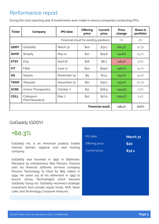### Performance report

During the 2015 reporting year, 8 investments were made in various companies conducting IPOs.

| <b>Ticker</b>                           | Company                     | <b>IPO</b> date | <b>Offering</b><br>price | Current<br>price | <b>Price</b><br>change | Share in<br>portfolio |
|-----------------------------------------|-----------------------------|-----------------|--------------------------|------------------|------------------------|-----------------------|
| Financial result for existing positions |                             |                 | $O\%$                    | $O\%$            |                        |                       |
| <b>GDDY</b>                             | GoDaddy                     | March 31        | \$20                     | \$32.1           | $+60.3%$               | 10.3%                 |
| <b>SHOP</b>                             | Shopify                     | <b>May 21</b>   | \$17                     | \$25.8           | $+51.8%$               | 15.2%                 |
| <b>ETSY</b>                             | Etsy                        | April 16        | \$16                     | \$8.3            | $-48,4%$               | 9.6%                  |
| <b>FIT</b>                              | Fitbit                      | June 17         | \$20                     | \$29.6           | +48.0%                 | 14.7%                 |
| SQ                                      | Square                      | November 19     | \$9                      | \$13.1           | $+45.4%$               | 19.5%                 |
| <b>TEAM</b>                             | Atlassian                   | December 10     | \$21                     | \$30.1           | $+43.2%$               | 20.3%                 |
| <b>ACRS</b>                             | <b>Aclaris Therapeutics</b> | October 7       | \$11                     | \$26.9           | $+144.9%$              | 5.0%                  |
| <b>COLL</b>                             | Collegium<br>Pharmaceutical | May 7           | \$12                     | \$27.5           | +129.2%                | 5.4%                  |
| <b>Financial result</b>                 |                             |                 |                          | $+48,4%$         | 100%                   |                       |

#### GoDaddy (GDDY)

### **+60.3%**

GoDaddy Inc. is an American publicly traded Internet domain registrar and web hosting company.

GoDaddy was founded in 1997 in Baltimore, Maryland by entrepreneur Bob Parsons. Parsons sold his financial software services company Parsons Technology to Intuit for \$65 million in 1994. He came out of his retirement in 1997 to launch Jomax Technologies which became GoDaddy Group Inc. GoDaddy received a strategic investment from private equity funds, KKR, Silver Lake, and Technology Crossover Ventures.

| <b>IPO</b> date      | March 31 |
|----------------------|----------|
| Offering price       | \$20     |
| <b>Current price</b> | \$32.1   |
|                      |          |
|                      |          |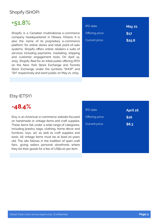#### Shopify (SHOP)

# **+51.8%**

Shopify is a Canadian multinational e-commerce company headquartered in Ottawa, Ontario. It is also the name of its proprietary e-commerce platform for online stores and retail point-of-sale systems. Shopify offers online retailers a suite of services including payments, marketing, shipping and customer engagement tools. On April 14, 2015, Shopify filed for an initial public offering (IPO) on the New York Stock Exchange and Toronto Stock Exchange under the symbols "SHOP" and "SH" respectively and went public on May 21, 2015.

| <b>IPO</b> date      | <b>May 21</b> |
|----------------------|---------------|
| Offering price       | \$17          |
| <b>Current price</b> | \$25.8        |
|                      |               |
|                      |               |
|                      |               |
|                      |               |
|                      |               |

#### Etsy (ETSY)

### **-48.4%**

Etsy is an American e-commerce website focused on handmade or vintage items and craft supplies. These items fall under a wide range of categories, including jewelry, bags, clothing, home décor and furniture, toys, art, as well as craft supplies and tools. All vintage items must be at least 20 years old. The site follows in the tradition of open craft fairs, giving sellers personal storefronts where they list their goods for a fee of US\$0.20 per item.

| <b>IPO</b> date       | April 16 |
|-----------------------|----------|
| <b>Offering price</b> | \$16     |
| <b>Current price</b>  | \$8.3    |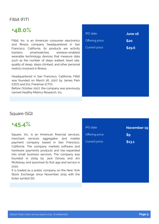#### Fitbit (FIT)

### **+48.0%**

Fitbit, Inc. is an American consumer electronics and fitness company headquartered in San Francisco, California. Its products are activity trackers, smartwatches, wireless-enabled wearable technology devices that measure data such as the number of steps walked, heart rate, quality of sleep, steps climbed, and other personal metrics involved in fitness.

Headquartered in San Francisco, California, Fitbit was founded on March 26, 2007 by James Park (CEO) and Eric Friedman (CTO).

Before October 2007, the company was previously named Healthy Metrics Research, Inc.

| <b>IPO</b> date      | <b>June 16</b> |
|----------------------|----------------|
| Offering price       | \$20           |
| <b>Current price</b> | \$29.6         |
|                      |                |
|                      |                |
|                      |                |
|                      |                |
|                      |                |
|                      |                |
|                      |                |

#### Square (SQ)

## **+45.4%**

Square, Inc. is an American financial services, merchant services aggregator, and mobile payment company based in San Francisco, California. The company markets software and hardware payments products and has expanded into small business services. The company was founded in 2009 by Jack Dorsey and Jim McKelvey and launched its first app and service in 2010.

It is traded as a public company on the New York Stock Exchange since November 2015 with the ticker symbol SQ.

| November 19 |
|-------------|
| \$9         |
| \$13.1      |
|             |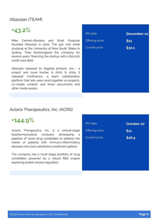#### Atlassian (TEAM)

# **+43.2%**

Mike Cannon-Brookes and Scott Farquhar founded Atlassian in 2002. The pair met while studying at the University of New South Wales in Sydney. They bootstrapped the company for several years, financing the startup with a \$10,000 credit card debt.

Atlassian released its flagship product, Jira – a project and issue tracker, in 2002. In 2004, it released Confluence, a team collaboration platform that lets users work together on projects, co-create content, and share documents and other media assets.

| <b>IPO</b> date | <b>December 10</b> |
|-----------------|--------------------|
| Offering price  | \$21               |
| Current price   | \$30.1             |
|                 |                    |
|                 |                    |
|                 |                    |
|                 |                    |
|                 |                    |
|                 |                    |

#### Aclaris Therapeutics, Inc. (ACRS)

### **+144.9%**

Aclaris Therapeutics, Inc. is a clinical-stage biopharmaceutical company developing a pipeline of novel drug candidates to address the needs of patients with immuno-inflammatory diseases who lack satisfactory treatment options.

The company has a multi-stage portfolio of drug candidates powered by a robust R&D engine exploring protein kinase regulation.

| <b>IPO</b> date | October 07 |
|-----------------|------------|
| Offering price  | \$11       |
| Current price   | \$26.9     |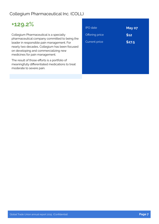### Collegium Pharmaceutical Inc. (COLL)

# **+129.2%**

Collegium Pharmaceutical is a specialty pharmaceutical company committed to being the leader in responsible pain management. For nearly two decades, Collegium has been focused on developing and commercializing new medicines for pain management.

The result of those efforts is a portfolio of meaningfully differentiated medications to treat moderate to severe pain.

| <b>IPO</b> date      | May 07 |
|----------------------|--------|
| Offering price       | \$12   |
| <b>Current price</b> | \$27.5 |
|                      |        |